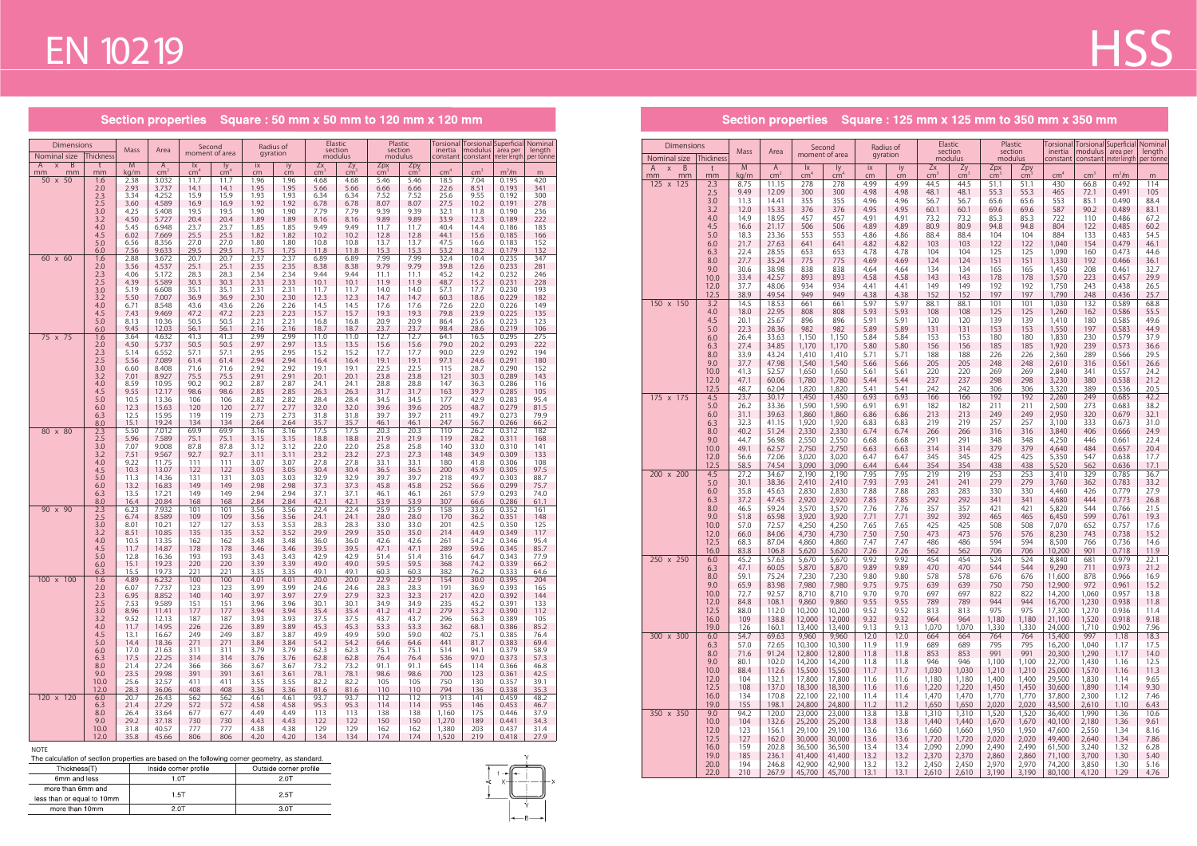#### **NOTE**

| . .                   |                        |
|-----------------------|------------------------|
| Inside corner profile | Outside corner profile |
| 1.OT                  | 2.0T                   |
| 1.5T                  | 2.5T                   |
| 2 OT                  | 3.0T                   |
|                       |                        |



Section properties Square : 50 mm x 50 mm to 120 mm x 120 mm

| <b>Dimensions</b><br>Nominal size    | <b>Thickness</b> | Mass         | Area                            | moment of area                            | Second              | gyration     | Radius of    |                       | Elastic<br>section<br>modulus | Plastic<br>section<br>modulus |                        | inertia         | Torsional   Torsional   Superficial   Nominal<br>modulus<br>constant   constant   meter length   per tonne | area per       | length       |
|--------------------------------------|------------------|--------------|---------------------------------|-------------------------------------------|---------------------|--------------|--------------|-----------------------|-------------------------------|-------------------------------|------------------------|-----------------|------------------------------------------------------------------------------------------------------------|----------------|--------------|
| B<br>$\pmb{\times}$<br>A<br>mm<br>mm | t<br>mm          | M<br>kg/m    | $\mathsf{A}$<br>cm <sup>2</sup> | $\mathsf{I}\mathsf{x}$<br>$\mathsf{cm}^4$ | ly<br>$\text{cm}^4$ | ix<br>cm     | iy<br>cm     | Zx<br>cm <sup>2</sup> | $\frac{Zy}{cm^3}$             | Zpx<br>cm <sup>2</sup>        | Zpy<br>cm <sup>3</sup> | cm <sup>4</sup> | cm <sup>3</sup>                                                                                            | $m2$ /m        | m            |
| 50 x 50                              | 1.6              | 2.38         | 3.032                           | 11.7                                      | 11.7                | 1.96         | 1.96         | 4.68                  | 4.68                          | 5.46                          | 5.46                   | 18.5            | 7.04                                                                                                       | 0.195          | 420          |
|                                      | 2.0              | 2.93         | 3.737                           | 14.1                                      | 14.1                | 1.95         | 1.95         | 5.66                  | 5.66                          | 6.66                          | 6.66                   | 22.6            | 8.51                                                                                                       | 0.193          | 341          |
|                                      | 2.3<br>2.5       | 3.34<br>3.60 | 4.252<br>4.589                  | 15.9<br>16.9                              | 15.9<br>16.9        | 1.93<br>1.92 | 1.93<br>1.92 | 6.34<br>6.78          | 6.34<br>6.78                  | 7.52<br>8.07                  | 7.52<br>8.07           | 25.6<br>27.5    | 9.55<br>10.2                                                                                               | 0.192<br>0.191 | 300<br>278   |
|                                      | 3.0              | 4.25         | 5.408                           | 19.5                                      | 19.5                | 1.90         | 1.90         | 7.79                  | 7.79                          | 9.39                          | 9.39                   | 32.1            | 11.8                                                                                                       | 0.190          | 236          |
|                                      | 3.2              | 4.50         | 5.727                           | 20.4                                      | 20.4                | 1.89         | 1.89         | 8.16                  | 8.16                          | 9.89                          | 9.89                   | 33.9            | 12.3                                                                                                       | 0.189          | 222          |
|                                      | 4.0              | 5.45         | 6.948                           | 23.7                                      | 23.7                | 1.85         | 1.85         | 9.49                  | 9.49                          | 11.7                          | 11.7                   | 40.4            | 14.4                                                                                                       | 0.186          | 183          |
|                                      | 4.5              | 6.02         | 7.669                           | 25.5                                      | 25.5                | 1.82         | 1.82         | 10.2                  | 10.2                          | 12.8                          | 12.8                   | 44.1            | 15.6                                                                                                       | 0.185          | 166          |
|                                      | 5.0              | 6.56         | 8.356<br>9.633                  | 27.0<br>29.5                              | 27.0                | 1.80<br>1.75 | 1.80         | 10.8<br>11.8          | 10.8                          | 13.7<br>15.3                  | 13.7<br>15.3           | 47.5<br>53.2    | 16.6                                                                                                       | 0.183<br>0.179 | 152          |
| 60 x 60                              | 6.0<br>1.6       | 7.56<br>2.88 | 3.672                           | 20.7                                      | 29.5<br>20.7        | 2.37         | 1.75<br>2.37 | 6.89                  | 11.8<br>6.89                  | 7.99                          | 7.99                   | 32.4            | 18.2<br>10.4                                                                                               | 0.235          | 132<br>347   |
|                                      | 2.0              | 3.56         | 4.537                           | 25.1                                      | 25.1                | 2.35         | 2.35         | 8.38                  | 8.38                          | 9.79                          | 9.79                   | 39.8            | 12.6                                                                                                       | 0.233          | 281          |
|                                      | 2.3              | 4.06         | 5.172                           | 28.3                                      | 28.3                | 2.34         | 2.34         | 9.44                  | 9.44                          | 11.1                          | 11.1                   | 45.2            | 14.2                                                                                                       | 0.232          | 246          |
|                                      | 2.5              | 4.39         | 5.589                           | 30.3                                      | 30.3                | 2.33         | 2.33         | 10.1                  | 10.1                          | 11.9                          | 11.9                   | 48.7            | 15.2                                                                                                       | 0.231          | 228          |
|                                      | 3.0<br>3.2       | 5.19<br>5.50 | 6.608<br>7.007                  | 35.1<br>36.9                              | 35.1<br>36.9        | 2.31<br>2.30 | 2.31<br>2.30 | 11.7<br>12.3          | 11.7<br>12.3                  | 14.0<br>14.7                  | 14.0<br>14.7           | 57.1<br>60.3    | 17.7<br>18.6                                                                                               | 0.230<br>0.229 | 193<br>182   |
|                                      | 4.0              | 6.71         | 8.548                           | 43.6                                      | 43.6                | 2.26         | 2.26         | 14.5                  | 14.5                          | 17.6                          | 17.6                   | 72.6            | 22.0                                                                                                       | 0.226          | 149          |
|                                      | 4.5              | 7.43         | 9.469                           | 47.2                                      | 47.2                | 2.23         | 2.23         | 15.7                  | 15.7                          | 19.3                          | 19.3                   | 79.8            | 23.9                                                                                                       | 0.225          | 135          |
|                                      | 5.0              | 8.13         | 10.36                           | 50.5                                      | 50.5                | 2.21         | 2.21         | 16.8                  | 16.8                          | 20.9                          | 20.9                   | 86.4            | 25.6                                                                                                       | 0.223          | 123          |
|                                      | 6.0              | 9.45         | 12.03                           | 56.1                                      | 56.1                | 2.16         | 2.16         | 18.7                  | 18.7                          | 23.7                          | 23.7                   | 98.4            | 28.6                                                                                                       | 0.219          | 106          |
| 75 x 75                              | 1.6<br>2.0       | 3.64<br>4.50 | 4.632<br>5.737                  | 41.3<br>50.5                              | 41.3<br>50.5        | 2.99<br>2.97 | 2.99<br>2.97 | 11.0<br>13.5          | 11.0<br>13.5                  | 12.7<br>15.6                  | 12.7<br>15.6           | 64.1<br>79.0    | 16.5<br>20.2                                                                                               | 0.295<br>0.293 | 275<br>222   |
|                                      | 2.3              | 5.14         | 6.552                           | 57.1                                      | 57.1                | 2.95         | 2.95         | 15.2                  | 15.2                          | 17.7                          | 17.7                   | 90.0            | 22.9                                                                                                       | 0.292          | 194          |
|                                      | 2.5              | 5.56         | 7.089                           | 61.4                                      | 61.4                | 2.94         | 2.94         | 16.4                  | 16.4                          | 19.1                          | 19.1                   | 97.1            | 24.6                                                                                                       | 0.291          | 180          |
|                                      | 3.0              | 6.60         | 8.408                           | 71.6                                      | 71.6                | 2.92         | 2.92         | 19.1                  | 19.1                          | 22.5                          | 22.5                   | 115             | 28.7                                                                                                       | 0.290          | 152          |
|                                      | 3.2              | 7.01         | 8.927                           | 75.5                                      | 75.5                | 2.91         | 2.91         | 20.1                  | 20.1                          | 23.8                          | 23.8                   | 121             | 30.3                                                                                                       | 0.289          | 143          |
|                                      | 4.0<br>4.5       | 8.59<br>9.55 | 10.95<br>12.17                  | 90.2<br>98.6                              | 90.2<br>98.6        | 2.87<br>2.85 | 2.87<br>2.85 | 24.1<br>26.3          | 24.1<br>26.3                  | 28.8<br>31.7                  | 28.8<br>31.7           | 147<br>163      | 36.3<br>39.7                                                                                               | 0.286<br>0.285 | 116<br>105   |
|                                      | 5.0              | 10.5         | 13.36                           | 106                                       | 106                 | 2.82         | 2.82         | 28.4                  | 28.4                          | 34.5                          | 34.5                   | 177             | 42.9                                                                                                       | 0.283          | 95.4         |
|                                      | 6.0              | 12.3         | 15.63                           | 120                                       | 120                 | 2.77         | 2.77         | 32.0                  | 32.0                          | 39.6                          | 39.6                   | 205             | 48.7                                                                                                       | 0.279          | 81.5         |
|                                      | 6.3              | 12.5         | 15.95                           | 119                                       | 119                 | 2.73         | 2.73         | 31.8                  | 31.8                          | 39.7                          | 39.7                   | 211             | 49.7                                                                                                       | 0.273          | 79.9         |
|                                      | 8.0<br>2.3       | 15.1         | 19.24                           | 134                                       | 134                 | 2.64         | 2.64         | 35.7                  | 35.7<br>17.5                  | 46.1                          | 46.1                   | 247             | 56.7                                                                                                       | 0.266          | 66.2         |
| 80 x 80                              | 2.5              | 5.50<br>5.96 | 7.012<br>7.589                  | 69.9<br>75.1                              | 69.9<br>75.1        | 3.16<br>3.15 | 3.16<br>3.15 | 17.5<br>18.8          | 18.8                          | 20.3<br>21.9                  | 20.3<br>21.9           | 110<br>119      | 26.2<br>28.2                                                                                               | 0.312<br>0.311 | 182<br>168   |
|                                      | 3.0              | 7.07         | 9.008                           | 87.8                                      | 87.8                | 3.12         | 3.12         | 22.0                  | 22.0                          | 25.8                          | 25.8                   | 140             | 33.0                                                                                                       | 0.310          | 141          |
|                                      | 3.2              | 7.51         | 9.567                           | 92.7                                      | 92.7                | 3.11         | 3.11         | 23.2                  | 23.2                          | 27.3                          | 27.3                   | 148             | 34.9                                                                                                       | 0.309          | 133          |
|                                      | 4.0              | 9.22         | 11.75                           | 111                                       | 111                 | 3.07         | 3.07         | 27.8                  | 27.8                          | 33.1                          | 33.1                   | 180             | 41.8                                                                                                       | 0.306          | 108          |
|                                      | 4.5<br>5.0       | 10.3<br>11.3 | 13.07<br>14.36                  | 122<br>131                                | 122<br>131          | 3.05<br>3.03 | 3.05<br>3.03 | 30.4<br>32.9          | 30.4<br>32.9                  | 36.5<br>39.7                  | 36.5<br>39.7           | 200<br>218      | 45.9<br>49.7                                                                                               | 0.305<br>0.303 | 97.5<br>88.7 |
|                                      | 6.0              | 13.2         | 16.83                           | 149                                       | 149                 | 2.98         | 2.98         | 37.3                  | 37.3                          | 45.8                          | 45.8                   | 252             | 56.6                                                                                                       | 0.299          | 75.7         |
|                                      | 6.3              | 13.5         | 17.21                           | 149                                       | 149                 | 2.94         | 2.94         | 37.1                  | 37.1                          | 46.1                          | 46.1                   | 261             | 57.9                                                                                                       | 0.293          | 74.0         |
|                                      | 8.0              | 16.4         | 20.84                           | 168                                       | 168                 | 2.84         | 2.84         | 42.1                  | 42.1                          | 53.9                          | 53.9                   | 307             | 66.6                                                                                                       | 0.286          | 61.1         |
| 90 x 90                              | 2.3              | 6.23         | 7.932                           | 101                                       | 101                 | 3.56         | 3.56         | 22.4                  | 22.4                          | 25.9                          | 25.9                   | 158             | 33.6                                                                                                       | 0.352          | 161          |
|                                      | 2.5<br>3.0       | 6.74<br>8.01 | 8.589<br>10.21                  | 109<br>127                                | 109<br>127          | 3.56<br>3.53 | 3.56<br>3.53 | 24.1<br>28.3          | 24.1<br>28.3                  | 28.0<br>33.0                  | 28.0<br>33.0           | 170<br>201      | 36.2<br>42.5                                                                                               | 0.351<br>0.350 | 148<br>125   |
|                                      | 3.2              | 8.51         | 10.85                           | 135                                       | 135                 | 3.52         | 3.52         | 29.9                  | 29.9                          | 35.0                          | 35.0                   | 214             | 44.9                                                                                                       | 0.349          | 117          |
|                                      | 4.0              | 10.5         | 13.35                           | 162                                       | 162                 | 3.48         | 3.48         | 36.0                  | 36.0                          | 42.6                          | 42.6                   | 261             | 54.2                                                                                                       | 0.346          | 95.4         |
|                                      | 4.5              | 11.7         | 14.87                           | 178                                       | 178                 | 3.46         | 3.46         | 39.5                  | 39.5                          | 47.1                          | 47.1                   | 289             | 59.6                                                                                                       | 0.345          | 85.7         |
|                                      | 5.0<br>6.0       | 12.8<br>15.1 | 16.36<br>19.23                  | 193<br>220                                | 193<br>220          | 3.43<br>3.39 | 3.43<br>3.39 | 42.9<br>49.0          | 42.9<br>49.0                  | 51.4<br>59.5                  | 51.4<br>59.5           | 316<br>368      | 64.7<br>74.2                                                                                               | 0.343<br>0.339 | 77.9<br>66.2 |
|                                      | 6.3              | 15.5         | 19.73                           | 221                                       | 221                 | 3.35         | 3.35         | 49.1                  | 49.1                          | 60.3                          | 60.3                   | 382             | 76.2                                                                                                       | 0.333          | 64.6         |
| 100 x 100                            | 1.6              | 4.89         | 6.232                           | 100                                       | 100                 | 4.01         | 4.01         | 20.0                  | 20.0                          | 22.9                          | 22.9                   | 154             | 30.0                                                                                                       | 0.395          | 204          |
|                                      | $2.0\,$          | 6.07         | 7.737                           | 123                                       | 123                 | 3.99         | 3.99         | 24.6                  | 24.6                          | 28.3                          | 28.3                   | 191             | 36.9                                                                                                       | 0.393          | 165          |
|                                      | 2.3              | 6.95         | 8.852                           | 140                                       | 140                 | 3.97         | 3.97         | 27.9                  | 27.9                          | 32.3                          | 32.3                   | 217             | 42.0                                                                                                       | 0.392          | 144          |
|                                      | 2.5<br>3.0       | 7.53<br>8.96 | 9.589<br>11.41                  | 151<br>177                                | 151<br>177          | 3.96<br>3.94 | 3.96<br>3.94 | 30.1<br>35.4          | 30.1<br>35.4                  | 34.9<br>41.2                  | 34.9<br>41.2           | 235<br>279      | 45.2<br>53.2                                                                                               | 0.391<br>0.390 | 133<br>112   |
|                                      | 3.2              | 9.52         | 12.13                           | 187                                       | 187                 | 3.93         | 3.93         | 37.5                  | 37.5                          | 43.7                          | 43.7                   | 296             | 56.3                                                                                                       | 0.389          | 105          |
|                                      | 4.0              | 11.7         | 14.95                           | 226                                       | 226                 | 3.89         | 3.89         | 45.3                  | 45.3                          | 53.3                          | 53.3                   | 362             | 68.1                                                                                                       | 0.386          | 85.2         |
|                                      | 4.5              | 13.1         | 16.67                           | 249                                       | 249                 | 3.87         | 3.87         | 49.9                  | 49.9                          | 59.0                          | 59.0                   | 402             | 75.1                                                                                                       | 0.385          | 76.4         |
|                                      | 5.0              | 14.4         | 18.36<br>21.63                  | 271<br>311                                | 271<br>311          | 3.84<br>3.79 | 3.84<br>3.79 | 54.2<br>62.3          | 54.2                          | 64.6<br>75.1                  | 64.6<br>75.1           | 441             | 81.7<br>94.1                                                                                               | 0.383<br>0.379 | 69.4<br>58.9 |
|                                      | 6.0<br>6.3       | 17.0<br>17.5 | 22.25                           | 314                                       | 314                 | 3.76         | 3.76         | 62.8                  | 62.3<br>62.8                  | 76.4                          | 76.4                   | 514<br>536      | 97.0                                                                                                       | 0.373          | 57.3         |
|                                      | 8.0              | 21.4         | 27.24                           | 366                                       | 366                 | 3.67         | 3.67         | 73.2                  | 73.2                          | 91.1                          | 91.1                   | 645             | 114                                                                                                        | 0.366          | 46.8         |
|                                      | 9.0              | 23.5         | 29.98                           | 391                                       | 391                 | 3.61         | 3.61         | 78.1                  | 78.1                          | 98.6                          | 98.6                   | 700             | 123                                                                                                        | 0.361          | 42.5         |
|                                      | 10.0             | 25.6         | 32.57                           | 411                                       | 411                 | 3.55         | 3.55         | 82.2                  | 82.2                          | 105                           | 105                    | 750             | 130                                                                                                        | 0.357          | 39.1         |
| 120 x 120                            | 12.0<br>$6.0\,$  | 28.3<br>20.7 | 36.06<br>26.43                  | 408<br>562                                | 408<br>562          | 3.36<br>4.61 | 3.36<br>4.61 | 81.6<br>93.7          | 81.6<br>93.7                  | 110<br>112                    | 110<br>112             | 794<br>913      | 136<br>141                                                                                                 | 0.338<br>0.459 | 35.3<br>48.2 |
|                                      | 6.3              | 21.4         | 27.29                           | 572                                       | 572                 | 4.58         | 4.58         | 95.3                  | 95.3                          | 114                           | 114                    | 955             | 146                                                                                                        | 0.453          | 46.7         |
|                                      | 8.0              | 26.4         | 33.64                           | 677                                       | 677                 | 4.49         | 4.49         | 113                   | 113                           | 138                           | 138                    | 1,160           | 175                                                                                                        | 0.446          | 37.9         |
|                                      | 9.0              | 29.2         | 37.18                           | 730                                       | 730                 | 4.43         | 4.43         | 122                   | 122                           | 150                           | 150                    | 1,270           | 189                                                                                                        | 0.441          | 34.3         |
|                                      | 10.0             | 31.8         | 40.57                           | 777                                       | 777                 | 4.38         | 4.38         | 129                   | 129                           | 162                           | 162                    | 1,380           | 203                                                                                                        | 0.437          | 31.4         |
|                                      | 12.0             | 35.8         | 45.66                           | 806                                       | 806                 | 4.20         | 4.20         | 134                   | 134                           | 174                           | 174                    | 1,520           | 219                                                                                                        | 0.418          | 27.9         |

# **HSS**

### Section properties Square : 125 mm x 125 mm to 350 mm x 350 mm

| <b>Dimensions</b><br>Nominal size                          | <b>Thickness</b> | Mass         | Area                 |                                           | Second<br>moment of area |              | Radius of<br>gyration |                       | Elastic<br>section<br>modulus | section              | Plastic<br>modulus     | constant         |                 | constant   meter length | Torsional Torsional Superficial Nominal<br>inertia   modulus   area per   length<br>per tonne |
|------------------------------------------------------------|------------------|--------------|----------------------|-------------------------------------------|--------------------------|--------------|-----------------------|-----------------------|-------------------------------|----------------------|------------------------|------------------|-----------------|-------------------------|-----------------------------------------------------------------------------------------------|
| $\overline{B}$<br>$\mathsf{X}$<br>$\mathsf{A}$<br>mm<br>mm | t<br>mm          | M<br>kg/m    | A<br>cm <sup>2</sup> | $\mathsf{I}\mathsf{X}$<br>cm <sup>4</sup> | ly.<br>cm <sup>4</sup>   | ix<br>cm     | iy<br>cm              | Zx<br>cm <sup>2</sup> | Zy<br>$\text{cm}^3$           | Zpx<br>$\text{cm}^3$ | Zpy<br>cm <sup>3</sup> | cm <sup>4</sup>  | cm <sup>3</sup> | m <sup>2</sup> /m       | m                                                                                             |
| 125 x 125                                                  | 2.3              | 8.75         | 11.15                | 278                                       | 278                      | 4.99         | 4.99                  | 44.5                  | 44.5                          | 51.1                 | 51.1                   | 430              | 66.8            | 0.492                   | 114                                                                                           |
|                                                            | 2.5              | 9.49         | 12.09                | 300                                       | 300                      | 4.98         | 4.98                  | 48.1                  | 48.1                          | 55.3                 | 55.3                   | 465              | 72.1            | 0.491                   | 105                                                                                           |
|                                                            | 3.0<br>3.2       | 11.3<br>12.0 | 14.41<br>15.33       | 355<br>376                                | 355<br>376               | 4.96<br>4.95 | 4.96<br>4.95          | 56.7<br>60.1          | 56.7<br>60.1                  | 65.6<br>69.6         | 65.6<br>69.6           | 553<br>587       | 85.1<br>90.2    | 0.490<br>0.489          | 88.4<br>83.1                                                                                  |
|                                                            | 4.0              | 14.9         | 18.95                | 457                                       | 457                      | 4.91         | 4.91                  | 73.2                  | 73.2                          | 85.3                 | 85.3                   | 722              | 110             | 0.486                   | 67.2                                                                                          |
|                                                            | 4.5              | 16.6         | 21.17                | 506                                       | 506                      | 4.89         | 4.89                  | 80.9                  | 80.9                          | 94.8                 | 94.8                   | 804              | 122             | 0.485                   | 60.2                                                                                          |
|                                                            | 5.0<br>6.0       | 18.3<br>21.7 | 23.36<br>27.63       | 553<br>641                                | 553<br>641               | 4.86<br>4.82 | 4.86<br>4.82          | 88.4<br>103           | 88.4<br>103                   | 104<br>122           | 104<br>122             | 884<br>1,040     | 133<br>154      | 0.483<br>0.479          | 54.5<br>46.1                                                                                  |
|                                                            | 6.3              | 22.4         | 28.55                | 653                                       | 653                      | 4.78         | 4.78                  | 104                   | 104                           | 125                  | 125                    | 1,090            | 160             | 0.473                   | 44.6                                                                                          |
|                                                            | 8.0              | 27.7         | 35.24                | 775                                       | 775                      | 4.69         | 4.69                  | 124                   | 124                           | 151                  | 151                    | 1,330            | 192             | 0.466                   | 36.1                                                                                          |
|                                                            | 9.0              | 30.6<br>33.4 | 38.98<br>42.57       | 838<br>893                                | 838<br>893               | 4.64<br>4.58 | 4.64<br>4.58          | 134<br>143            | 134<br>143                    | 165<br>178           | 165<br>178             | 1,450<br>1,570   | 208<br>223      | 0.461<br>0.457          | 32.7<br>29.9                                                                                  |
|                                                            | 10.0<br>12.0     | 37.7         | 48.06                | 934                                       | 934                      | 4.41         | 4.41                  | 149                   | 149                           | 192                  | 192                    | 1,750            | 243             | 0.438                   | 26.5                                                                                          |
|                                                            | 12.5             | 38.9         | 49.54                | 949                                       | 949                      | 4.38         | 4.38                  | 152                   | 152                           | 197                  | 197                    | 1,790            | 248             | 0.436                   | 25.7                                                                                          |
| 150 x 150                                                  | 3.2              | 14.5         | 18.53                | 661                                       | 661                      | 5.97         | 5.97                  | 88.1                  | 88.1                          | 101                  | 101                    | 1,030            | 132             | 0.589                   | 68.8                                                                                          |
|                                                            | 4.0<br>4.5       | 18.0<br>20.1 | 22.95<br>25.67       | 808<br>896                                | 808<br>896               | 5.93<br>5.91 | 5.93<br>5.91          | 108<br>120            | 108<br>120                    | 125<br>139           | 125<br>139             | 1,260<br>1,410   | 162<br>180      | 0.586<br>0.585          | 55.5<br>49.6                                                                                  |
|                                                            | 5.0              | 22.3         | 28.36                | 982                                       | 982                      | 5.89         | 5.89                  | 131                   | 131                           | 153                  | 153                    | 1,550            | 197             | 0.583                   | 44.9                                                                                          |
|                                                            | 6.0              | 26.4         | 33.63                | 1,150                                     | 1,150                    | 5.84         | 5.84                  | 153                   | 153                           | 180                  | 180                    | 1,830            | 230             | 0.579                   | 37.9                                                                                          |
|                                                            | 6.3<br>8.0       | 27.4<br>33.9 | 34.85<br>43.24       | 1,170<br>1,410                            | 1,170<br>1,410           | 5.80<br>5.71 | 5.80<br>5.71          | 156<br>188            | 156<br>188                    | 185<br>226           | 185<br>226             | 1,920<br>2,360   | 239<br>289      | 0.573<br>0.566          | 36.6<br>29.5                                                                                  |
|                                                            | 9.0              | 37.7         | 47.98                | 1,540                                     | 1,540                    | 5.66         | 5.66                  | 205                   | 205                           | 248                  | 248                    | 2,610            | 316             | 0.561                   | 26.6                                                                                          |
|                                                            | 10.0             | 41.3         | 52.57                | 1,650                                     | 1,650                    | 5.61         | 5.61                  | 220                   | 220                           | 269                  | 269                    | 2,840            | 341             | 0.557                   | 24.2                                                                                          |
|                                                            | 12.0<br>12.5     | 47.1<br>48.7 | 60.06<br>62.04       | 1,780<br>1,820                            | 1,780<br>1,820           | 5.44<br>5.41 | 5.44<br>5.41          | 237<br>242            | 237<br>242                    | 298<br>306           | 298<br>306             | 3,230<br>3,320   | 380<br>389      | 0.538<br>0.536          | 21.2<br>20.5                                                                                  |
| 175 x 175                                                  | 4.5              | 23.7         | 30.17                | 1,450                                     | 1,450                    | 6.93         | 6.93                  | 166                   | 166                           | 192                  | 192                    | 2,260            | 249             | 0.685                   | 42.2                                                                                          |
|                                                            | 5.0              | 26.2         | 33.36                | 1,590                                     | 1,590                    | 6.91         | 6.91                  | 182                   | 182                           | 211                  | 211                    | 2,500            | 273             | 0.683                   | 38.2                                                                                          |
|                                                            | 6.0<br>6.3       | 31.1<br>32.3 | 39.63<br>41.15       | 1,860<br>1,920                            | 1,860<br>1,920           | 6.86<br>6.83 | 6.86<br>6.83          | 213<br>219            | 213<br>219                    | 249<br>257           | 249<br>257             | 2,950<br>3,100   | 320<br>333      | 0.679<br>0.673          | 32.1<br>31.0                                                                                  |
|                                                            | 8.0              | 40.2         | 51.24                | 2,330                                     | 2,330                    | 6.74         | 6.74                  | 266                   | 266                           | 316                  | 316                    | 3,840            | 406             | 0.666                   | 24.9                                                                                          |
|                                                            | 9.0              | 44.7         | 56.98                | 2,550                                     | 2,550                    | 6.68         | 6.68                  | 291                   | 291                           | 348                  | 348                    | 4,250            | 446             | 0.661                   | 22.4                                                                                          |
|                                                            | 10.0<br>12.0     | 49.1<br>56.6 | 62.57<br>72.06       | 2,750<br>3,020                            | 2,750<br>3,020           | 6.63<br>6.47 | 6.63<br>6.47          | 314<br>345            | 314<br>345                    | 379<br>425           | 379<br>425             | 4,640<br>5,350   | 484<br>547      | 0.657<br>0.638          | 20.4<br>17.7                                                                                  |
|                                                            | 12.5             | 58.5         | 74.54                | 3,090                                     | 3,090                    | 6.44         | 6.44                  | 354                   | 354                           | 438                  | 438                    | 5,520            | 562             | 0.636                   | 17.1                                                                                          |
| 200 x 200                                                  | 4.5              | 27.2         | 34.67                | 2,190                                     | 2,190                    | 7.95         | 7.95                  | 219                   | 219                           | 253                  | 253                    | 3,410            | 329             | 0.785                   | 36.7                                                                                          |
|                                                            | 5.0<br>6.0       | 30.1<br>35.8 | 38.36<br>45.63       | 2,410<br>2,830                            | 2,410<br>2,830           | 7.93<br>7.88 | 7.93<br>7.88          | 241<br>283            | 241<br>283                    | 279<br>330           | 279<br>330             | 3,760<br>4,460   | 362<br>426      | 0.783<br>0.779          | 33.2<br>27.9                                                                                  |
|                                                            | 6.3              | 37.2         | 47.45                | 2,920                                     | 2,920                    | 7.85         | 7.85                  | 292                   | 292                           | 341                  | 341                    | 4,680            | 444             | 0.773                   | 26.8                                                                                          |
|                                                            | 8.0              | 46.5         | 59.24                | 3,570                                     | 3,570                    | 7.76         | 7.76                  | 357                   | 357                           | 421                  | 421                    | 5,820            | 544             | 0.766                   | 21.5                                                                                          |
|                                                            | 9.0<br>10.0      | 51.8<br>57.0 | 65.98<br>72.57       | 3,920<br>4,250                            | 3,920<br>4,250           | 7.71<br>7.65 | 7.71<br>7.65          | 392<br>425            | 392<br>425                    | 465<br>508           | 465<br>508             | 6,450<br>7,070   | 599<br>652      | 0.761<br>0.757          | 19.3<br>17.6                                                                                  |
|                                                            | 12.0             | 66.0         | 84.06                | 4,730                                     | 4,730                    | 7.50         | 7.50                  | 473                   | 473                           | 576                  | 576                    | 8,230            | 743             | 0.738                   | 15.2                                                                                          |
|                                                            | 12.5             | 68.3         | 87.04                | 4,860                                     | 4,860                    | 7.47         | 7.47                  | 486                   | 486                           | 594                  | 594                    | 8,500            | 766             | 0.736                   | 14.6                                                                                          |
| 250 x 250                                                  | 16.0<br>6.0      | 83.8<br>45.2 | 106.8<br>57.63       | 5,620<br>5,670                            | 5,620<br>5,670           | 7.26<br>9.92 | 7.26<br>9.92          | 562<br>454            | 562<br>454                    | 706<br>524           | 706<br>524             | 10,200<br>8,840  | 901<br>681      | 0.718<br>0.979          | 11.9<br>22.1                                                                                  |
|                                                            | 6.3              | 47.1         | 60.05                | 5,870                                     | 5,870                    | 9.89         | 9.89                  | 470                   | 470                           | 544                  | 544                    | 9,290            | 711             | 0.973                   | 21.2                                                                                          |
|                                                            | 8.0              | 59.1         | 75.24                | 7,230                                     | 7,230                    | 9.80         | 9.80                  | 578                   | 578                           | 676                  | 676                    | 11,600           | 878             | 0.966                   | 16.9                                                                                          |
|                                                            | 9.0<br>10.0      | 65.9<br>72.7 | 83.98<br>92.57       | 7,980<br>8,710                            | 7,980<br>8,710           | 9.75<br>9.70 | 9.75<br>9.70          | 639<br>697            | 639<br>697                    | 750<br>822           | 750<br>822             | 12,900<br>14,200 | 972<br>1,060    | 0.961<br>0.957          | 15.2<br>13.8                                                                                  |
|                                                            | 12.0             | 84.8         | 108.1                | 9,860                                     | 9,860                    | 9.55         | 9.55                  | 789                   | 789                           | 944                  | 944                    | 16,700           | 1,230           | 0.938                   | 11.8                                                                                          |
|                                                            | 12.5             | 88.0         | 112.0                | 10,200                                    | 10,200                   | 9.52         | 9.52                  | 813                   | 813                           | 975                  | 975                    | 17,300           | 1,270           | 0.936                   | 11.4                                                                                          |
|                                                            | 16.0<br>19.0     | 109<br>126   | 138.8<br>160.1       | 12,000<br>13,400                          | 12,000<br>13,400         | 9.32<br>9.13 | 9.32<br>9.13          | 964<br>1,070          | 964<br>1,070                  | 1,180<br>1,330       | 1,180<br>1,330         | 21,100<br>24,000 | 1,520<br>1,710  | 0.918<br>0.902          | 9.18<br>7.96                                                                                  |
| 300 x 300                                                  | 6.0              | 54.7         | 69.63                | 9,960                                     | 9,960                    | 12.0         | 12.0                  | 664                   | 664                           | 764                  | 764                    | 15,400           | 997             | 1.18                    | 18.3                                                                                          |
|                                                            | 6.3              | 57.0         | 72.65                | 10,300                                    | 10,300                   | 11.9         | 11.9                  | 689                   | 689                           | 795                  | 795                    | 16,200           | 1,040           | 1.17                    | 17.5                                                                                          |
|                                                            | 8.0<br>9.0       | 71.6<br>80.1 | 91.24<br>102.0       | 12,800<br>14,200                          | 12,800<br>14,200         | 11.8<br>11.8 | 11.8<br>11.8          | 853<br>946            | 853<br>946                    | 991<br>1,100         | 991<br>1,100           | 20,300<br>22,700 | 1,290<br>1,430  | 1.17<br>1.16            | 14.0<br>12.5                                                                                  |
|                                                            | 10.0             | 88.4         | 112.6                | 15,500                                    | 15,500                   | 11.7         | 11.7                  | 1,030                 | 1,030                         | 1,210                | 1,210                  | 25,000           | 1,570           | 1.16                    | 11.3                                                                                          |
|                                                            | 12.0             | 104          | 132.1                | 17,800                                    | 17,800                   | 11.6         | 11.6                  | 1,180                 | 1,180                         | 1,400                | 1,400                  | 29,500           | 1,830           | 1.14                    | 9.65                                                                                          |
|                                                            | 12.5<br>16.0     | 108<br>134   | 137.0<br>170.8       | 18,300<br>22,100                          | 18,300<br>22,100         | 11.6<br>11.4 | 11.6<br>11.4          | 1,220<br>1,470        | 1,220<br>1,470                | 1,450<br>1,770       | 1,450<br>1,770         | 30,600<br>37,800 | 1,890<br>2,300  | 1.14<br>1.12            | 9.30<br>7.46                                                                                  |
|                                                            | 19.0             | 155          | 198.1                | 24,800                                    | 24,800                   | 11.2         | 11.2                  | 1,650                 | 1,650                         | 2,020                | 2,020                  | 43,500           | 2,610           | 1.10                    | 6.43                                                                                          |
| 350 x 350                                                  | 9.0              | 94.2         | 120.0                | 23,000                                    | 23,000                   | 13.8         | 13.8                  | 1,310                 | 1,310                         | 1,520                | 1,520                  | 36,400           | 1,990           | 1.36                    | 10.6                                                                                          |
|                                                            | 10.0<br>12.0     | 104<br>123   | 132.6<br>156.1       | 25,200<br>29,100                          | 25,200<br>29,100         | 13.8<br>13.6 | 13.8<br>13.6          | 1,440<br>1,660        | 1,440<br>1,660                | 1,670<br>1,950       | 1,670<br>1,950         | 40,100<br>47,600 | 2,180<br>2,550  | 1.36<br>1.34            | 9.61<br>8.16                                                                                  |
|                                                            | 12.5             | 127          | 162.0                | 30,000                                    | 30,000                   | 13.6         | 13.6                  | 1,720                 | 1,720                         | 2,020                | 2,020                  | 49,400           | 2,640           | 1.34                    | 7.86                                                                                          |
|                                                            | 16.0             | 159          | 202.8                | 36,500                                    | 36,500                   | 13.4         | 13.4                  | 2,090                 | 2,090                         | 2,490                | 2,490                  | 61,500           | 3,240           | 1.32                    | 6.28                                                                                          |
|                                                            | 19.0<br>20.0     | 185<br>194   | 236.1<br>246.8       | 41,400<br>42,900                          | 41,400<br>42,900         | 13.2<br>13.2 | 13.2<br>13.2          | 2,370<br>2,450        | 2,370<br>2,450                | 2,860<br>2,970       | 2,860<br>2,970         | 71,100<br>74,200 | 3,700<br>3,850  | 1.30<br>1.30            | 5.40<br>5.16                                                                                  |
|                                                            | 22.0             | 210          | 267.9                | 45,700                                    | 45,700                   | 13.1         | 13.1                  | 2,610                 | 2,610                         | 3,190                | 3,190                  | 80,100           | 4,120           | 1.29                    | 4.76                                                                                          |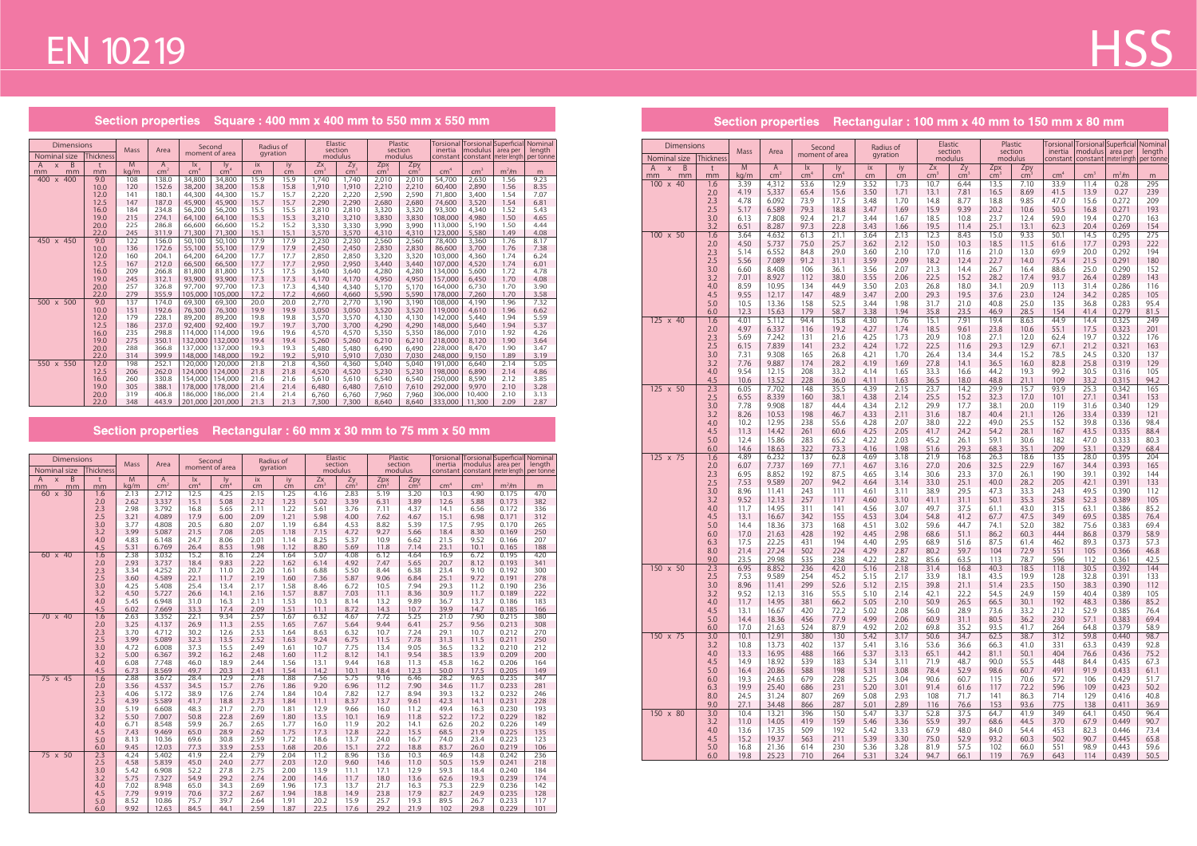Section properties Square: 400 mm x 400 mm to 550 mm x 550 mm

| <b>Dimensions</b>                   |             | <b>Mass</b> | Area            | Second                 |                  | Radius of    |              | <b>Elastic</b>  | section        | section        | Plastic         | inertia          | modulus         | Torsional Torsional Superficial Nominal<br>area per | length       |
|-------------------------------------|-------------|-------------|-----------------|------------------------|------------------|--------------|--------------|-----------------|----------------|----------------|-----------------|------------------|-----------------|-----------------------------------------------------|--------------|
| Nominal size                        | Thickness   |             |                 | moment of area         |                  | gyration     |              |                 | modulus        | modulus        |                 |                  |                 | constant   constant   meter length                  | per tonne    |
| B<br>$\overline{A}$<br>$\mathsf{x}$ | t           | M           | A               | $\mathsf{I}\mathsf{x}$ | ly.              | ix           | iy           | Zx              | Zy             | Zpx            | Zpy             |                  |                 |                                                     |              |
| mm<br>mm                            | mm          | kg/m        | cm <sup>2</sup> | cm <sup>4</sup>        | $\text{cm}^4$    | cm           | cm           | cm <sup>3</sup> | $\rm cm^3$     | $\rm cm^3$     | cm <sup>3</sup> | cm <sup>4</sup>  | cm <sup>3</sup> | m <sup>2</sup> /m                                   | m            |
| 400<br>400<br>$\mathsf{x}$          | 9.0<br>10.0 | 108<br>120  | 138.0<br>152.6  | 34,800                 | 34,800<br>38,200 | 15.9<br>15.8 | 15.9<br>15.8 | 1.740           | 1,740          | 2,010          | 2,010           | 54,700           | 2,630           | 1.56<br>1.56                                        | 9.23         |
|                                     | 12.0        | 141         | 180.1           | 38,200<br>44,300       | 44,300           | 15.7         | 15.7         | 1,910<br>2,220  | 1,910<br>2,220 | 2,210<br>2,590 | 2,210<br>2,590  | 60,400<br>71,800 | 2,890<br>3,400  | 1.54                                                | 8.35<br>7.07 |
|                                     | 12.5        | 147         | 187.0           | 45,900                 | 45,900           | 15.7         | 15.7         | 2,290           | 2,290          | 2,680          | 2,680           | 74,600           | 3,520           | 1.54                                                | 6.81         |
|                                     | 16.0        | 184         | 234.8           | 56,200                 | 56,200           | 15.5         | 15.5         | 2,810           | 2,810          | 3,320          | 3,320           | 93,300           | 4,340           | 1.52                                                | 5.43         |
|                                     | 19.0        | 215         | 274.1           | 64,100                 | 64,100           | 15.3         | 15.3         | 3,210           | 3,210          | 3,830          | 3,830           | 108,000          | 4,980           | 1.50                                                | 4.65         |
|                                     | 20.0        | 225         | 286.8           | 66.600                 | 66.600           | 15.2         | 15.2         | 3,330           | 3,330          | 3,990          | 3,990           | 113,000          | 5,190           | 1.50                                                | 4.44         |
|                                     | 22.0        | 245         | 311.9           | 71,300                 | 71,300           | 15.1         | 15.1         | 3,570           | 3,570          | 4,310          | 4,310           | 123,000          | 5,580           | 1.49                                                | 4.08         |
| 450 x 450                           | 9.0         | 122         | 156.0           | 50,100                 | 50,100           | 17.9         | 17.9         | 2,230           | 2,230          | 2,560          | 2,560           | 78,400           | 3,360           | 1.76                                                | 8.17         |
|                                     | 10.0        | 136         | 172.6           | 55,100                 | 55,100           | 17.9         | 17.9         | 2,450           | 2,450          | 2,830          | 2,830           | 86,600           | 3,700           | 1.76                                                | 7.38         |
|                                     | 12.0        | 160         | 204.1           | 64,200                 | 64,200           | 17.7         | 17.7         | 2,850           | 2,850          | 3,320          | 3,320           | 103,000          | 4,360           | 1.74                                                | 6.24         |
|                                     | 12.5        | 167         | 212.0           | 66,500                 | 66,500           | 17.7         | 17.7         | 2,950           | 2,950          | 3,440          | 3,440           | 107,000          | 4,520           | 1.74                                                | 6.01         |
|                                     | 16.0        | 209         | 266.8           | 81,800                 | 81,800           | 17.5         | 17.5         | 3,640           | 3,640          | 4,280          | 4,280           | 134,000          | 5,600           | 1.72                                                | 4.78         |
|                                     | 19.0        | 245         | 312.1           | 93,900                 | 93,900           | 17.3         | 17.3         | 4,170           | 4.170          | 4,950          | 4,950           | 157,000          | 6,450           | 1.70                                                | 4.08         |
|                                     | 20.0        | 257         | 326.8           | 97,700                 | 97,700           | 17.3         | 17.3         | 4,340           | 4,340          | 5,170          | 5.170           | 164,000          | 6,730           | 1.70                                                | 3.90         |
|                                     | 22.0        | 279         | 355.9           | 105,000                | 105,000          | 17.2         | 17.2         | 4,660           | 4,660          | 5,590          | 5,590           | 178,000          | 7,260           | 1.70                                                | 3.58         |
| 500 x 500                           | 9.0         | 137         | 174.0           | 69,300                 | 69,300           | 20.0         | 20.0         | 2,770           | 2,770          | 3,190          | 3,190           | 108,000          | 4,190           | 1.96                                                | 7.32         |
|                                     | 10.0        | 151         | 192.6           | 76,300                 | 76,300           | 19.9         | 19.9         | 3,050           | 3,050          | 3,520          | 3,520           | 119,000          | 4,610           | 1.96                                                | 6.62         |
|                                     | 12.0        | 179         | 228.1           | 89,200                 | 89,200           | 19.8         | 19.8         | 3,570           | 3,570          | 4,130          | 4.130           | 142,000          | 5,440           | 1.94                                                | 5.59         |
|                                     | 12.5        | 186         | 237.0           | 92,400                 | 92,400           | 19.7         | 19.7         | 3,700           | 3,700          | 4,290          | 4,290           | 148,000          | 5,640           | 1.94                                                | 5.37         |
|                                     | 16.0        | 235         | 298.8           | 114,000                | 114,000          | 19.6         | 19.6         | 4,570           | 4,570          | 5,350          | 5,350           | 186,000          | 7,010           | 1.92                                                | 4.26         |
|                                     | 19.0        | 275         | 350.1           | 132,000                | 132,000          | 19.4         | 19.4         | 5,260           | 5,260          | 6,210          | 6,210           | 218,000          | 8,120           | 1.90                                                | 3.64         |
|                                     | 20.0        | 288         | 366.8           | 137,000                | 137,000          | 19.3         | 19.3         | 5,480           | 5,480          | 6.490          | 6,490           | 228,000          | 8,470           | 1.90                                                | 3.47         |
|                                     | 22.0        | 314         | 399.9           | 148,000                | 148,000          | 19.2         | 19.2         | 5.910           | 5.910          | 7.030          | 7,030           | 248,000          | 9,150           | 1.89                                                | 3.19         |
| 550 x 550                           | 12.0        | 198         | 252.1           | 120.000                | 120,000          | 21.8         | 21.8         | 4.360           | 4,360          | 5,040          | 5,040           | 191,000          | 6.640           | 2.14                                                | 5.05         |
|                                     | 12.5        | 206         | 262.0           | 124,000                | 124,000          | 21.8         | 21.8         | 4,520           | 4,520          | 5,230          | 5,230           | 198,000          | 6,890           | 2.14                                                | 4.86         |
|                                     | 16.0        | 260         | 330.8           | 154,000                | 154,000          | 21.6         | 21.6         | 5.610           | 5.610          | 6.540          | 6,540           | 250,000          | 8,590           | 2.12                                                | 3.85         |
|                                     | 19.0        | 305         | 388.1           | 178,000                | 178,000          | 21.4         | 21.4         | 6,480           | 6,480          | 7,610          | 7,610           | 292,000          | 9,970           | 2.10                                                | 3.28         |
|                                     | 20.0        | 319         | 406.8           | 186,000                | 186,000          | 21.4         | 21.4         | 6,760           | 6.760          | 7,960          | 7,960           | 306,000          | 10,400          | 2.10                                                | 3.13         |
|                                     | 22.0        | 348         | 443.9           | 201.000                | 201.000          | 21.3         | 21.3         | 7.300           | 7.300          | 8,640          | 8.640           | 333,000          | 11,300          | 2.09                                                | 2.87         |

### Section properties Rectangular: 60 mm x 30 mm to 75 mm x 50 mm

| <b>Dimensions</b><br>Nominal size                | <b>Thickness</b> | Mass         | Area            |                        | Second<br>moment of area |              | Radius of<br>gyration |                 | Elastic<br>section<br>modulus |                 | Plastic<br>section<br>modulus | inertia         | modulus         | Torsional Torsional Superficial Nominal<br>area per<br>constant   constant   meter length   per tonne | length     |
|--------------------------------------------------|------------------|--------------|-----------------|------------------------|--------------------------|--------------|-----------------------|-----------------|-------------------------------|-----------------|-------------------------------|-----------------|-----------------|-------------------------------------------------------------------------------------------------------|------------|
| $\overline{B}$<br>$\overline{A}$<br>$\mathsf{x}$ | t                | M            | $\overline{A}$  | $\mathsf{I}\mathsf{x}$ | ly                       | ix           | iy                    | Zx              | Zy                            | Zpx             | Zpy                           |                 |                 |                                                                                                       |            |
| mm<br>mm                                         | mm               | kg/m         | cm <sup>2</sup> | cm <sup>4</sup>        | cm <sup>4</sup>          | cm           | $\overline{cm}$       | cm <sup>3</sup> | cm <sup>3</sup>               | cm <sup>3</sup> | $\text{cm}^3$                 | cm <sup>4</sup> | cm <sup>3</sup> | $m2$ /m                                                                                               | m          |
| $60 \times 30$                                   | 1.6              | 2.13         | 2.712           | 12.5                   | 4.25                     | 2.15         | 1.25                  | 4.16            | 2.83                          | 5.19            | 3.20                          | 10.3            | 4.90            | 0.175                                                                                                 | 470        |
|                                                  | 2.0              | 2.62         | 3.337           | 15.1                   | 5.08                     | 2.12         | 1.23                  | 5.02            | 3.39                          | 6.31            | 3.89                          | 12.6            | 5.88            | 0.173                                                                                                 | 382        |
|                                                  | 2.3              | 2.98         | 3.792           | 16.8                   | 5.65                     | 2.11         | 1.22                  | 5.61            | 3.76                          | 7.11            | 4.37                          | 14.1            | 6.56            | 0.172                                                                                                 | 336        |
|                                                  | 2.5              | 3.21         | 4.089           | 17.9                   | 6.00                     | 2.09         | 1.21                  | 5.98            | 4.00                          | 7.62            | 4.67                          | 15.1            | 6.98            | 0.171                                                                                                 | 312        |
|                                                  | 3.0              | 3.77         | 4.808           | 20.5                   | 6.80                     | 2.07         | 1.19                  | 6.84            | 4.53                          | 8.82            | 5.39                          | 17.5            | 7.95            | 0.170                                                                                                 | 265        |
|                                                  | 3.2              | 3.99         | 5.087<br>6.148  | 21.5                   | 7.08                     | 2.05         | 1.18                  | 7.15            | 4.72<br>5.37                  | 9.27            | 5.66                          | 18.4            | 8.30            | 0.169                                                                                                 | 250        |
|                                                  | 4.0<br>4.5       | 4.83<br>5.31 | 6.769           | 24.7<br>26.4           | 8.06<br>8.53             | 2.01<br>1.98 | 1.14<br>1.12          | 8.25<br>8.80    | 5.69                          | 10.9<br>11.8    | 6.62<br>7.14                  | 21.5<br>23.1    | 9.52<br>10.1    | 0.166<br>0.165                                                                                        | 207<br>188 |
| 60 x 40                                          | 1.6              | 2.38         | 3.032           | 15.2                   | 8.16                     | 2.24         | 1.64                  | 5.07            | 4.08                          | 6.12            | 4.64                          | 16.9            | 6.72            | 0.195                                                                                                 | 420        |
|                                                  | 2.0              | 2.93         | 3.737           | 18.4                   | 9.83                     | 2.22         | 1.62                  | 6.14            | 4.92                          | 7.47            | 5.65                          | 20.7            | 8.12            | 0.193                                                                                                 | 341        |
|                                                  | 2.3              | 3.34         | 4.252           | 20.7                   | 11.0                     | 2.20         | 1.61                  | 6.88            | 5.50                          | 8.44            | 6.38                          | 23.4            | 9.10            | 0.192                                                                                                 | 300        |
|                                                  | 2.5              | 3.60         | 4.589           | 22.1                   | 11.7                     | 2.19         | 1.60                  | 7.36            | 5.87                          | 9.06            | 6.84                          | 25.1            | 9.72            | 0.191                                                                                                 | 278        |
|                                                  | 3.0              | 4.25         | 5.408           | 25.4                   | 13.4                     | 2.17         | 1.58                  | 8.46            | 6.72                          | 10.5            | 7.94                          | 29.3            | 11.2            | 0.190                                                                                                 | 236        |
|                                                  | 3.2              | 4.50         | 5.727           | 26.6                   | 14.1                     | 2.16         | 1.57                  | 8.87            | 7.03                          | 11.1            | 8.36                          | 30.9            | 11.7            | 0.189                                                                                                 | 222        |
|                                                  | 4.0              | 5.45         | 6.948           | 31.0                   | 16.3                     | 2.11         | 1.53                  | 10.3            | 8.14                          | 13.2            | 9.89                          | 36.7            | 13.7            | 0.186                                                                                                 | 183        |
|                                                  | 4.5              | 6.02         | 7.669           | 33.3                   | 17.4                     | 2.09         | 1.51                  | 11.1            | 8.72                          | 14.3            | 10.7                          | 39.9            | 14.7            | 0.185                                                                                                 | 166        |
| 70 x 40                                          | 1.6              | 2.63         | 3.352           | 22.1                   | 9.34                     | 2.57         | 1.67                  | 6.32            | 4.67                          | 7.72            | 5.25                          | 21.0            | 7.90            | 0.215                                                                                                 | 380        |
|                                                  | 2.0              | 3.25         | 4.137           | 26.9                   | 11.3                     | 2.55         | 1.65                  | 7.67            | 5.64                          | 9.44            | 6.41                          | 25.7            | 9.56            | 0.213                                                                                                 | 308        |
|                                                  | 2.3              | 3.70         | 4.712           | 30.2                   | 12.6                     | 2.53         | 1.64                  | 8.63            | 6.32                          | 10.7            | 7.24                          | 29.1            | 10.7            | 0.212                                                                                                 | 270        |
|                                                  | 2.5              | 3.99         | 5.089           | 32.3                   | 13.5                     | 2.52         | 1.63                  | 9.24            | 6.75                          | 11.5            | 7.78                          | 31.3            | 11.5            | 0.211                                                                                                 | 250        |
|                                                  | 3.0              | 4.72         | 6.008           | 37.3                   | 15.5                     | 2.49         | 1.61                  | 10.7            | 7.75                          | 13.4            | 9.05                          | 36.5            | 13.2            | 0.210                                                                                                 | 212        |
|                                                  | 3.2              | 5.00         | 6.367           | 39.2                   | 16.2                     | 2.48         | 1.60                  | 11.2            | 8.12                          | 14.1            | 9.54                          | 38.5            | 13.9            | 0.209                                                                                                 | 200        |
|                                                  | 4.0              | 6.08         | 7.748           | 46.0                   | 18.9                     | 2.44         | 1.56                  | 13.1            | 9.44                          | 16.8            | 11.3                          | 45.8            | 16.2            | 0.206                                                                                                 | 164        |
|                                                  | 4.5              | 6.73         | 8.569           | 49.7                   | 20.3                     | 2.41         | 1.54                  | 14.2            | 10.1                          | 18.4            | 12.3                          | 50.0            | 17.5            | 0.205                                                                                                 | 149        |
| $75 \times 45$                                   | 1.6              | 2.88         | 3.672           | 28.4                   | 12.9                     | 2.78         | 1.88                  | 7.56            | 5.75                          | 9.16            | 6.46                          | 28.2            | 9.63            | 0.235                                                                                                 | 347        |
|                                                  | 2.0              | 3.56         | 4.537           | 34.5                   | 15.7                     | 2.76         | 1.86                  | 9.20            | 6.96                          | 11.2            | 7.90                          | 34.6            | 11.7            | 0.233                                                                                                 | 281        |
|                                                  | 2.3              | 4.06         | 5.172           | 38.9                   | 17.6                     | 2.74         | 1.84                  | 10.4            | 7.82                          | 12.7            | 8.94                          | 39.3            | 13.2            | 0.232                                                                                                 | 246        |
|                                                  | 2.5              | 4.39         | 5.589           | 41.7                   | 18.8                     | 2.73         | 1.84                  | 11.1            | 8.37                          | 13.7            | 9.61                          | 42.3            | 14.1            | 0.231                                                                                                 | 228        |
|                                                  | 3.0              | 5.19<br>5.50 | 6.608<br>7.007  | 48.3<br>50.8           | 21.7<br>22.8             | 2.70<br>2.69 | 1.81<br>1.80          | 12.9<br>13.5    | 9.66<br>10.1                  | 16.0<br>16.9    | 11.2<br>11.8                  | 49.4<br>52.2    | 16.3<br>17.2    | 0.230<br>0.229                                                                                        | 193<br>182 |
|                                                  | 3.2<br>4.0       | 6.71         | 8.548           | 59.9                   | 26.7                     | 2.65         | 1.77                  | 16.0            | 11.9                          | 20.2            | 14.1                          | 62.6            | 20.2            | 0.226                                                                                                 | 149        |
|                                                  | 4.5              | 7.43         | 9.469           | 65.0                   | 28.9                     | 2.62         | 1.75                  | 17.3            | 12.8                          | 22.2            | 15.5                          | 68.5            | 21.9            | 0.225                                                                                                 | 135        |
|                                                  | 5.0              | 8.13         | 10.36           | 69.6                   | 30.8                     | 2.59         | 1.72                  | 18.6            | 13.7                          | 24.0            | 16.7                          | 74.0            | 23.4            | 0.223                                                                                                 | 123        |
|                                                  | 6.0              | 9.45         | 12.03           | 77.3                   | 33.9                     | 2.53         | 1.68                  | 20.6            | 15.1                          | 27.2            | 18.8                          | 83.7            | 26.0            | 0.219                                                                                                 | 106        |
| $75 \times 50$                                   | 2.3              | 4.24         | 5.402           | 41.9                   | 22.4                     | 2.79         | 2.04                  | 11.2            | 8.96                          | 13.6            | 10.3                          | 46.9            | 14.8            | 0.242                                                                                                 | 236        |
|                                                  | 2.5              | 4.58         | 5.839           | 45.0                   | 24.0                     | 2.77         | 2.03                  | 12.0            | 9.60                          | 14.6            | 11.0                          | 50.5            | 15.9            | 0.241                                                                                                 | 218        |
|                                                  | 3.0              | 5.42         | 6.908           | 52.2                   | 27.8                     | 2.75         | 2.00                  | 13.9            | 11.1                          | 17.1            | 12.9                          | 59.3            | 18.4            | 0.240                                                                                                 | 184        |
|                                                  | 3.2              | 5.75         | 7.327           | 54.9                   | 29.2                     | 2.74         | 2.00                  | 14.6            | 11.7                          | 18.0            | 13.6                          | 62.6            | 19.3            | 0.239                                                                                                 | 174        |
|                                                  | 4.0              | 7.02         | 8.948           | 65.0                   | 34.3                     | 2.69         | 1.96                  | 17.3            | 13.7                          | 21.7            | 16.3                          | 75.3            | 22.9            | 0.236                                                                                                 | 142        |
|                                                  | 4.5              | 7.79         | 9.919           | 70.6                   | 37.2                     | 2.67         | 1.94                  | 18.8            | 14.9                          | 23.8            | 17.9                          | 82.7            | 24.9            | 0.235                                                                                                 | 128        |
|                                                  | 5.0              | 8.52         | 10.86           | 75.7                   | 39.7                     | 2.64         | 1.91                  | 20.2            | 15.9                          | 25.7            | 19.3                          | 89.5            | 26.7            | 0.233                                                                                                 | 117        |
|                                                  | 6.0              | 9.92         | 12.63           | 84.5                   | 44.1                     | 2.59         | 1.87                  | 22.5            | 17.6                          | 29.2            | 21.9                          | 102             | 29.8            | 0.229                                                                                                 | 101        |

# **HSS**

### Section properties Rectangular : 100 mm x 40 mm to 150 mm x 80 mm

| Dimensions                                      |            |              |                                 |                                 | Second              |              | Radius of    |                       | Elastic             |                      | Plastic                | Torsional           |                 | Torsional Superficial               | Nominal             |
|-------------------------------------------------|------------|--------------|---------------------------------|---------------------------------|---------------------|--------------|--------------|-----------------------|---------------------|----------------------|------------------------|---------------------|-----------------|-------------------------------------|---------------------|
| Nominal size                                    | Thickness  | <b>Mass</b>  | Area                            |                                 | moment of area      |              | gyration     |                       | section<br>modulus  |                      | section<br>modulus     | inertia<br>constant | modulus         | area per<br>constant   meter length | length<br>per tonne |
| $\overline{B}$<br>A<br>$\mathsf{X}$<br>mm<br>mm | t<br>mm    | M<br>kg/m    | $\mathsf{A}$<br>cm <sup>2</sup> | $\mathsf{I}$<br>cm <sup>4</sup> | ly<br>$\text{cm}^4$ | ix<br>cm     | iy<br>cm     | Zx<br>cm <sup>2</sup> | Zy<br>$\text{cm}^3$ | Zpx<br>$\text{cm}^3$ | Zpy<br>cm <sup>3</sup> | cm <sup>4</sup>     | cm <sup>3</sup> | m <sup>2</sup> /m                   | m                   |
| 100 x 40                                        | 1.6        | 3.39         | 4,312                           | 53.6                            | 12.9                | 3.52         | 1.73         | 10.7                  | 6.44                | 13.5                 | 7.10                   | 33.9                | 11.4            | 0.28                                | 295                 |
|                                                 | 2.0        | 4.19         | 5,337                           | 65.4                            | 15.6                | 3.50         | 1.71         | 13.1                  | 7.81                | 16.5                 | 8.69                   | 41.5                | 13.9            | 0.27                                | 239                 |
|                                                 | 2.3<br>2.5 | 4.78<br>5.17 | 6.092<br>6.589                  | 73.9<br>79.3                    | 17.5<br>18.8        | 3.48<br>3.47 | 1.70<br>1.69 | 14.8<br>15.9          | 8.77<br>9.39        | 18.8<br>20.2         | 9.85<br>10.6           | 47.0<br>50.5        | 15.6<br>16.8    | 0.272<br>0.271                      | 209<br>193          |
|                                                 | 3.0        | 6.13         | 7.808                           | 92.4                            | 21.7                | 3.44         | 1.67         | 18.5                  | 10.8                | 23.7                 | 12.4                   | 59.0                | 19.4            | 0.270                               | 163                 |
|                                                 | 3.2        | 6.51         | 8.287                           | 97.3                            | 22.8                | 3.43         | 1.66         | 19.5                  | 11.4                | 25.1                 | 13.1                   | 62.3                | 20.4            | 0.269                               | 154                 |
| 100 x 50                                        | 1.6<br>2.0 | 3.64<br>4.50 | 4.632<br>5.737                  | 61.3<br>75.0                    | 21.1<br>25.7        | 3.64<br>3.62 | 2.13<br>2.12 | 12.3<br>15.0          | 8.43<br>10.3        | 15.0<br>18.5         | 9.33<br>11.5           | 50.1<br>61.6        | 14.5<br>17.7    | 0.295<br>0.293                      | 275<br>222          |
|                                                 | 2.3        | 5.14         | 6.552                           | 84.8                            | 29.0                | 3.60         | 2.10         | 17.0                  | 11.6                | 21.0                 | 13.0                   | 69.9                | 20.0            | 0.292                               | 194                 |
|                                                 | 2.5        | 5.56         | 7.089                           | 91.2                            | 31.1                | 3.59         | 2.09         | 18.2                  | 12.4                | 22.7                 | 14.0                   | 75.4                | 21.5            | 0.291                               | 180                 |
|                                                 | 3.0<br>3.2 | 6.60<br>7.01 | 8.408<br>8.927                  | 106<br>112                      | 36.1<br>38.0        | 3.56<br>3.55 | 2.07<br>2.06 | 21.3<br>22.5          | 14.4<br>15.2        | 26.7<br>28.2         | 16.4<br>17.4           | 88.6<br>93.7        | 25.0<br>26.4    | 0.290<br>0.289                      | 152<br>143          |
|                                                 | 4.0        | 8.59         | 10.95                           | 134                             | 44.9                | 3.50         | 2.03         | 26.8                  | 18.0                | 34.1                 | 20.9                   | 113                 | 31.4            | 0.286                               | 116                 |
|                                                 | 4.5        | 9.55         | 12.17                           | 147                             | 48.9                | 3.47         | 2.00         | 29.3                  | 19.5                | 37.6                 | 23.0                   | 124                 | 34.2            | 0.285                               | 105                 |
|                                                 | 5.0        | 10.5         | 13.36                           | 158                             | 52.5                | 3.44         | 1.98         | 31.7                  | 21.0                | 40.8                 | 25.0                   | 135                 | 36.8            | 0.283                               | 95.4                |
| 125 x 40                                        | 6.0<br>1.6 | 12.3<br>4.01 | 15.63<br>5.112                  | 179<br>94.4                     | 58.7<br>15.8        | 3.38<br>4.30 | 1.94<br>1.76 | 35.8<br>15.1          | 23.5<br>7.91        | 46.9<br>19.4         | 28.5<br>8.63           | 154<br>44.9         | 41.4<br>14.4    | 0.279<br>0.325                      | 81.5<br>249         |
|                                                 | 2.0        | 4.97         | 6.337                           | 116                             | 19.2                | 4.27         | 1.74         | 18.5                  | 9.61                | 23.8                 | 10.6                   | 55.1                | 17.5            | 0.323                               | 201                 |
|                                                 | 2.3        | 5.69         | 7.242                           | 131                             | 21.6                | 4.25         | 1.73         | 20.9                  | 10.8                | 27.1                 | 12.0                   | 62.4                | 19.7            | 0.322                               | 176                 |
|                                                 | 2.5<br>3.0 | 6.15<br>7.31 | 7.839<br>9.308                  | 141<br>165                      | 23.2<br>26.8        | 4.24<br>4.21 | 1.72<br>1.70 | 22.5<br>26.4          | 11.6<br>13.4        | 29.3<br>34.4         | 12.9<br>15.2           | 67.1<br>78.5        | 21.2<br>24.5    | 0.321<br>0.320                      | 163<br>137          |
|                                                 | 3.2        | 7.76         | 9.887                           | 174                             | 28.2                | 4.19         | 1.69         | 27.8                  | 14.1                | 36.5                 | 16.0                   | 82.8                | 25.8            | 0.319                               | 129                 |
|                                                 | 4.0        | 9.54         | 12.15                           | 208                             | 33.2                | 4.14         | 1.65         | 33.3                  | 16.6                | 44.2                 | 19.3                   | 99.2                | 30.5            | 0.316                               | 105                 |
| 125 x 50                                        | 4.5<br>2.3 | 10.6<br>6.05 | 13.52<br>7.702                  | 228<br>148                      | 36.0<br>35.5        | 4.11<br>4.39 | 1.63<br>2.15 | 36.5<br>23.7          | 18.0<br>14.2        | 48.8<br>29.9         | 21.1<br>15.7           | 109<br>93.9         | 33.2<br>25.3    | 0.315<br>0.342                      | 94.2<br>165         |
|                                                 | 2.5        | 6.55         | 8.339                           | 160                             | 38.1                | 4.38         | 2.14         | 25.5                  | 15.2                | 32.3                 | 17.0                   | 101                 | 27.1            | 0.341                               | 153                 |
|                                                 | 3.0        | 7.78         | 9.908                           | 187                             | 44.4                | 4.34         | 2.12         | 29.9                  | 17.7                | 38.1                 | 20.0                   | 119                 | 31.6            | 0.340                               | 129                 |
|                                                 | 3.2        | 8.26<br>10.2 | 10.53<br>12.95                  | 198<br>238                      | 46.7<br>55.6        | 4.33<br>4.28 | 2.11<br>2.07 | 31.6<br>38.0          | 18.7<br>22.2        | 40.4<br>49.0         | 21.1<br>25.5           | 126<br>152          | 33.4<br>39.8    | 0.339<br>0.336                      | 121<br>98.4         |
|                                                 | 4.0<br>4.5 | 11.3         | 14.42                           | 261                             | 60.6                | 4.25         | 2.05         | 41.7                  | 24.2                | 54.2                 | 28.1                   | 167                 | 43.5            | 0.335                               | 88.4                |
|                                                 | 5.0        | 12.4         | 15.86                           | 283                             | 65.2                | 4.22         | 2.03         | 45.2                  | 26.1                | 59.1                 | 30.6                   | 182                 | 47.0            | 0.333                               | 80.3                |
|                                                 | 6.0        | 14.6         | 18.63                           | 322                             | 73.3                | 4.16         | 1.98         | 51.6                  | 29.3                | 68.3                 | 35.1                   | 209                 | 53.1            | 0.329                               | 68.4                |
| $125 \times 75$                                 | 1.6<br>2.0 | 4.89<br>6.07 | 6.232<br>7.737                  | 137<br>169                      | 62.8<br>77.1        | 4.69<br>4.67 | 3.18<br>3.16 | 21.9<br>27.0          | 16.8<br>20.6        | 26.3<br>32.5         | 18.6<br>22.9           | 135<br>167          | 28.0<br>34.4    | 0.395<br>0.393                      | 204<br>165          |
|                                                 | 2.3        | 6.95         | 8.852                           | 192                             | 87.5                | 4.65         | 3.14         | 30.6                  | 23.3                | 37.0                 | 26.1                   | 190                 | 39.1            | 0.392                               | 144                 |
|                                                 | 2.5        | 7.53         | 9.589                           | 207                             | 94.2                | 4.64         | 3.14         | 33.0                  | 25.1                | 40.0                 | 28.2                   | 205                 | 42.1            | 0.391                               | 133                 |
|                                                 | 3.0<br>3.2 | 8.96<br>9.52 | 11.41<br>12.13                  | 243<br>257                      | 111<br>117          | 4.61<br>4.60 | 3.11<br>3.10 | 38.9<br>41.1          | 29.5<br>31.1        | 47.3<br>50.1         | 33.3<br>35.3           | 243<br>258          | 49.5<br>52.3    | 0.390<br>0.389                      | 112<br>105          |
|                                                 | 4.0        | 11.7         | 14.95                           | 311                             | 141                 | 4.56         | 3.07         | 49.7                  | 37.5                | 61.1                 | 43.0                   | 315                 | 63.1            | 0.386                               | 85.2                |
|                                                 | 4.5        | 13.1         | 16.67                           | 342                             | 155                 | 4.53         | 3.04         | 54.8                  | 41.2                | 67.7                 | 47.5                   | 349                 | 69.5            | 0.385                               | 76.4                |
|                                                 | 5.0<br>6.0 | 14.4<br>17.0 | 18.36<br>21.63                  | 373<br>428                      | 168<br>192          | 4.51<br>4.45 | 3.02<br>2.98 | 59.6<br>68.6          | 44.7<br>51.1        | 74.1<br>86.2         | 52.0<br>60.3           | 382<br>444          | 75.6<br>86.8    | 0.383<br>0.379                      | 69.4<br>58.9        |
|                                                 | 6.3        | 17.5         | 22.25                           | 431                             | 194                 | 4.40         | 2.95         | 68.9                  | 51.6                | 87.5                 | 61.4                   | 462                 | 89.3            | 0.373                               | 57.3                |
|                                                 | 8.0        | 21.4         | 27.24                           | 502                             | 224                 | 4.29         | 2.87         | 80.2                  | 59.7                | 104                  | 72.9                   | 551                 | 105             | 0.366                               | 46.8                |
| 150 x 50                                        | 9.0<br>2.3 | 23.5<br>6.95 | 29.98<br>8.852                  | 535<br>236                      | 238<br>42.0         | 4.22<br>5.16 | 2.82<br>2.18 | 85.6<br>31.4          | 63.5<br>16.8        | 113<br>40.3          | 78.7<br>18.5           | 596<br>118          | 112<br>30.5     | 0.361<br>0.392                      | 42.5<br>144         |
|                                                 | 2.5        | 7.53         | 9.589                           | 254                             | 45.2                | 5.15         | 2.17         | 33.9                  | 18.1                | 43.5                 | 19.9                   | 128                 | 32.8            | 0.391                               | 133                 |
|                                                 | 3.0        | 8.96         | 11.41                           | 299                             | 52.6                | 5.12         | 2.15         | 39.8                  | 21.1                | 51.4                 | 23.5                   | 150                 | 38.3            | 0.390                               | 112                 |
|                                                 | 3.2<br>4.0 | 9.52<br>11.7 | 12.13<br>14.95                  | 316<br>381                      | 55.5<br>66.2        | 5.10<br>5.05 | 2.14<br>2.10 | 42.1<br>50.9          | 22.2<br>26.5        | 54.5<br>66.5         | 24.9<br>30.1           | 159<br>192          | 40.4<br>48.3    | 0.389<br>0.386                      | 105<br>85.2         |
|                                                 | 4.5        | 13.1         | 16.67                           | 420                             | 72.2                | 5.02         | 2.08         | 56.0                  | 28.9                | 73.6                 | 33.2                   | 212                 | 52.9            | 0.385                               | 76.4                |
|                                                 | 5.0        | 14.4         | 18.36                           | 456                             | 77.9                | 4.99         | 2.06         | 60.9                  | 31.1                | 80.5                 | 36.2                   | 230                 | 57.1            | 0.383                               | 69.4                |
| 150 x 75                                        | 6.0<br>3.0 | 17.0<br>10.1 | 21.63<br>12.91                  | 524<br>380                      | 87.9<br>130         | 4.92<br>5.42 | 2.02<br>3.17 | 69.8<br>50.6          | 35.2<br>34.7        | 93.5<br>62.5         | 41.7<br>38.7           | 264<br>312          | 64.8<br>59.8    | 0.379<br>0.440                      | 58.9<br>98.7        |
|                                                 | 3.2        | 10.8         | 13.73                           | 402                             | 137                 | 5.41         | 3.16         | 53.6                  | 36.6                | 66.3                 | 41.0                   | 331                 | 63.3            | 0.439                               | 92.8                |
|                                                 | 4.0        | 13.3         | 16.95                           | 488                             | 166                 | 5.37         | 3.13         | 65.1                  | 44.2                | 81.1                 | 50.1                   | 404                 | 76.6            | 0.436                               | 75.2                |
|                                                 | 4.5<br>5.0 | 14.9<br>16.4 | 18.92<br>20.86                  | 539<br>588                      | 183<br>198          | 5.34<br>5.31 | 3.11<br>3.08 | 71.9<br>78.4          | 48.7<br>52.9        | 90.0<br>98.6         | 55.5<br>60.7           | 448<br>491          | 84.4<br>91.9    | 0.435<br>0.433                      | 67.3<br>61.1        |
|                                                 | 6.0        | 19.3         | 24.63                           | 679                             | 228                 | 5.25         | 3.04         | 90.6                  | 60.7                | 115                  | 70.6                   | 572                 | 106             | 0.429                               | 51.7                |
|                                                 | 6.3        | 19.9         | 25.40                           | 686                             | 231                 | 5.20         | 3.01         | 91.4                  | 61.6                | 117                  | 72.2                   | 596                 | 109             | 0.423                               | 50.2                |
|                                                 | 8.0<br>9.0 | 24.5<br>27.1 | 31.24<br>34.48                  | 807<br>866                      | 269<br>287          | 5.08<br>5.01 | 2.93<br>2.89 | 108<br>116            | 71.7<br>76.6        | 141<br>153           | 86.3<br>93.6           | 714<br>775          | 129<br>138      | 0.416<br>0.411                      | 40.8<br>36.9        |
| $150 \times 80$                                 | 3.0        | 10.4         | 13.21                           | 396                             | 150                 | 5.47         | 3.37         | 52.8                  | 37.5                | 64.7                 | 41.9                   | 349                 | 64.1            | 0.450                               | 96.4                |
|                                                 | 3.2        | 11.0         | 14.05                           | 419                             | 159                 | 5.46         | 3.36         | 55.9                  | 39.7                | 68.6                 | 44.5                   | 370                 | 67.9            | 0.449                               | 90.7                |
|                                                 | 4.0<br>4.5 | 13.6         | 17.35                           | 509                             | 192                 | 5.42<br>5.39 | 3.33         | 67.9                  | 48.0                | 84.0                 | 54.4                   | 453<br>502          | 82.3            | 0.446                               | 73.4                |
|                                                 | 5.0        | 15.2<br>16.8 | 19.37<br>21.36                  | 563<br>614                      | 211<br>230          | 5.36         | 3.30<br>3.28 | 75.0<br>81.9          | 52.9<br>57.5        | 93.2<br>102          | 60.3<br>66.0           | 551                 | 90.7<br>98.9    | 0.445<br>0.443                      | 65.8<br>59.6        |
|                                                 | 6.0        | 19.8         | 25.23                           | 710                             | 264                 | 5.31         | 3.24         | 94.7                  | 66.1                | 119                  | 76.9                   | 643                 | 114             | 0.439                               | 50.5                |